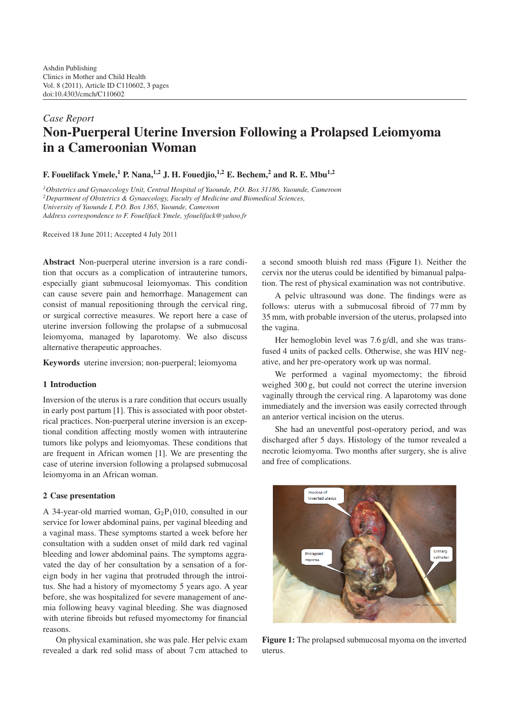# *Case Report* **Non-Puerperal U[te](#page-1-0)rine Inversion Following a Prolapsed Leiomyoma in a Cameroonian Woman**

## **F. Fouelifack Ymele,<sup>1</sup> P. Nana,1,2 J. H. Fouedjio,1,2 E. Bechem,2 and R. E. Mbu1,2**

*1Obstetrics and Gynaecology Unit, Central Hospital of Yaounde, P.O. Box 31186, Yaounde, Cameroon 2Department of Obstetrics & Gynaecology, Faculty of Medicine and Biomedical Sciences, University of Yaounde I, P.O. Box 1365, Yaounde, Cameroon Address correspondence to F. Fouelifack Ymele, yfouelifack@yahoo.fr*

Received 18 June 2011; Accepted 4 July 2011

**Abstract** Non-puerperal uterine inversion is a rare condition that occurs as a complication of intrauterine tumors, especially giant submucosal leiomyomas. This condition can cause severe pain and hemorrhage. Management can consist of manual repositioning through the cervical ring, or surgical corrective measures. We report here a case of uterine inversion following the prolapse of a submucosal leiomyoma, managed by laparotomy. We also discuss alternative therapeutic approaches.

**Keywords** uterine inversion; non-puerperal; leiomyoma

### **1 Introduction**

Inversion of the uterus is a rare condition that occurs usually in early post partum [1]. This is associated with poor obstetrical practices. Non-puerperal uterine inversion is an exceptional condition affecting mostly women with intrauterine tumors like polyps and leiomyomas. These conditions that are frequent in Afri[can](#page-1-1) women [1]. We are presenting the case of uterine inversion following a prolapsed submucosal leiomyoma in an African woman.

### **2 Case presentation**

A 34-year-old married woman,  $G_2P_1010$ , consulted in our service for lower abdominal pains, per vaginal bleeding and a vaginal mass. These symptoms started a week before her consultation with a sudden onset of mild dark red vaginal bleeding and lower abdominal pains. The symptoms aggravated the day of her consultation by a sensation of a foreign body in her vagina that protruded through the introitus. She had a history of myomectomy 5 years ago. A year before, she was hospitalized for severe management of anemia following heavy vaginal bleeding. She was diagnosed with uterine fibroids but refused myomectomy for financial reasons.

On physical examination, she was pale. Her pelvic exam revealed a dark red solid mass of about 7 cm attached to

a second smooth bluish red mass (Figure 1). Neither the cervix nor the uterus could be identified by bimanual palpation. The rest of physical examination was not contributive.

A pelvic ultrasound was done. The findings were as follows: uterus with a submucosal [fibroid o](#page-0-0)f 77 mm by 35 mm, with probable inversion of the uterus, prolapsed into the vagina.

Her hemoglobin level was 7.6 g/dl, and she was transfused 4 units of packed cells. Otherwise, she was HIV negative, and her pre-operatory work up was normal.

We performed a vaginal myomectomy; the fibroid weighed 300 g, but could not correct the uterine inversion vaginally through the cervical ring. A laparotomy was done immediately and the inversion was easily corrected through an anterior vertical incision on the uterus.

She had an uneventful post-operatory period, and was discharged after 5 days. Histology of the tumor revealed a necrotic leiomyoma. Two months after surgery, she is alive and free of complications.



<span id="page-0-0"></span>**Figure 1:** The prolapsed submucosal myoma on the inverted uterus.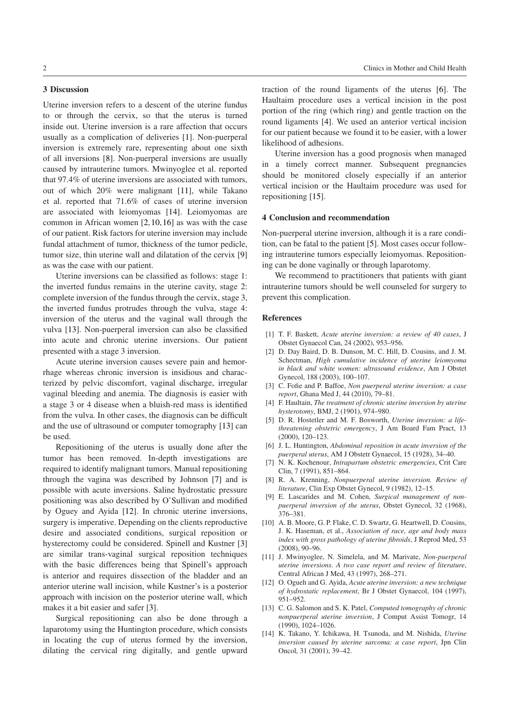### **3 Discussion**

Uterine inversion refers to a descent of the uterine fundus to or through the cervix, so that the uterus is turned inside out. Uterine inversion is a rare affection that occurs usually as a complication of deliveries [1]. Non-puerperal inversion is extremely rare, representing about one sixth of all inversions [8]. Non-puerperal inversions are usually caused by intrauterine tumors. Mwinyoglee et al. reported that 97.4% of uterine inversions are asso[cia](#page-1-1)ted with tumors, out of which 20% were malignant [11], while Takano et al. reported t[hat](#page-1-2) 71.6% of cases of uterine inversion are associated with leiomyomas [14]. Leiomyomas are common in African women [2,10,16] as was with the case of our patient. Risk factors for uterine in[vers](#page-1-3)ion may include fundal attachment of tumor, thickness of the tumor pedicle, tumor size, thin uterine wall and dil[atat](#page-1-4)ion of the cervix [9] as was the case with our pati[en](#page-1-5)[t.](#page-1-6)

Uterine inversions can be classified as follows: stage 1: the inverted fundus remains in the uterine cavity, stage 2: complete inversion of the fundus through the cervix, stage [3,](#page-1-7) the inverted fundus protrudes through the vulva, stage 4: inversion of the uterus and the vaginal wall through the vulva [13]. Non-puerperal inversion can also be classified into acute and chronic uterine inversions. Our patient presented with a stage 3 inversion.

Acute uterine inversion causes severe pain and hemorrhage [whe](#page-1-8)reas chronic inversion is insidious and characterized by pelvic discomfort, vaginal discharge, irregular vaginal bleeding and anemia. The diagnosis is easier with a stage 3 or 4 disease when a bluish-red mass is identified from the vulva. In other cases, the diagnosis can be difficult and the use of ultrasound or computer tomography [13] can be used.

Repositioning of the uterus is usually done after the tumor has been removed. In-depth investigations are required to identify malignant tumors. Manual repo[sitio](#page-1-8)ning through the vagina was described by Johnson [7] and is possible with acute inversions. Saline hydrostatic pressure positioning was also described by O'Sullivan and modified by Oguey and Ayida [12]. In chronic uterine inversions, surgery is imperative. Depending on the clients re[pro](#page-1-9)ductive desire and associated conditions, surgical reposition or hysterectomy could be considered. Spinell and Kustner [3] are similar trans-vagi[nal](#page-1-10) surgical reposition techniques with the basic differences being that Spinell's approach is anterior and requires dissection of the bladder and an anterior uterine wall incision, while Kustner's is a poster[ior](#page-1-11) approach with incision on the posterior uterine wall, which makes it a bit easier and safer [3].

Surgical repositioning can also be done through a laparotomy using the Huntington procedure, which consists in locating the cup of uterus formed by the inversion, dilating the cervical ring d[igi](#page-1-11)tally, and gentle upward traction of the round ligaments of the uterus [6]. The Haultaim procedure uses a vertical incision in the post portion of the ring (which ring) and gentle traction on the round ligaments [4]. We used an anterior vertical incision for our patient because we found it to be easier, wit[h a](#page-1-12) lower likelihood of adhesions.

Uterine inversion has a good prognosis when managed in a timely co[rre](#page-1-13)ct manner. Subsequent pregnancies should be monitored closely especially if an anterior vertical incision or the Haultaim procedure was used for repositioning [15].

#### **4 Conclusion and recommendation**

Non-puerperal uterine inversion, although it is a rare condition, can be fa[tal](#page-2-0) [t](#page-2-0)o the patient [5]. Most cases occur following intrauterine tumors especially leiomyomas. Repositioning can be done vaginally or through laparotomy.

We recommend to practitioners that patients with giant intrauterine tumors should be [we](#page-1-14)ll counseled for surgery to prevent this complication.

#### **References**

- [1] T. F. Baskett, *Acute uterine inversion: a review of 40 cases*, J Obstet Gynaecol Can, 24 (2002), 953–956.
- <span id="page-1-0"></span>[2] D. Day Baird, D. B. Dunson, M. C. Hill, D. Cousins, and J. M. Schectman, *High cumulative incidence of uterine leiomyoma in black and white women: ultrasound evidence*, Am J Obstet Gynecol, 188 (2003), 100–107.
- <span id="page-1-5"></span><span id="page-1-1"></span>[3] C. Fofie and P. Baffoe, *Non puerperal uterine inversion: a case report*, Ghana Med J, 44 (2010), 79–81.
- [4] F. Haultain, *The treatment of chronic uterine inversion by uterine hysterotomy*, BMJ, 2 (1901), 974–980.
- <span id="page-1-11"></span>[5] D. R. Hostetler and M. F. Bosworth, *Uterine inversion: a lifethreatening obstetric emergency*, J Am Board Fam Pract, 13 (2000), 120–123.
- <span id="page-1-13"></span>[6] J. L. Huntington, *Abdominal reposition in acute inversion of the puerperal uterus*, AM J Obstetr Gynaecol, 15 (1928), 34–40.
- <span id="page-1-14"></span>[7] N. K. Kochenour, *Intrapartum obstetric emergencies*, Crit Care Clin, 7 (1991), 851–864.
- <span id="page-1-12"></span>[8] R. A. Krenning, *Nonpuerperal uterine inversion. Review of literature*, Clin Exp Obstet Gynecol, 9 (1982), 12–15.
- <span id="page-1-9"></span>[9] E. Lascarides and M. Cohen, *Surgical management of nonpuerperal inversion of the uterus*, Obstet Gynecol, 32 (1968), 376–381.
- <span id="page-1-7"></span><span id="page-1-2"></span>[10] A. B. Moore, G. P. Flake, C. D. Swartz, G. Heartwell, D. Cousins, J. K. Haseman, et al., *Association of race, age and body mass index with gross pathology of uterine fibroids*, J Reprod Med, 53 (2008), 90–96.
- <span id="page-1-6"></span>[11] J. Mwinyoglee, N. Simelela, and M. Marivate, *Non-puerperal uterine inversions. A two case report and review of literature*, Central African J Med, 43 (1997), 268–271.
- <span id="page-1-3"></span>[12] O. Ogueh and G. Ayida, *Acute uterine inversion: a new technique of hydrostatic replacement*, Br J Obstet Gynaecol, 104 (1997), 951–952.
- <span id="page-1-10"></span>[13] C. G. Salomon and S. K. Patel, *Computed tomography of chronic nonpuerperal uterine inversion*, J Comput Assist Tomogr, 14 (1990), 1024–1026.
- <span id="page-1-8"></span><span id="page-1-4"></span>[14] K. Takano, Y. Ichikawa, H. Tsunoda, and M. Nishida, *Uterine inversion caused by uterine sarcoma: a case report*, Jpn Clin Oncol, 31 (2001), 39–42.